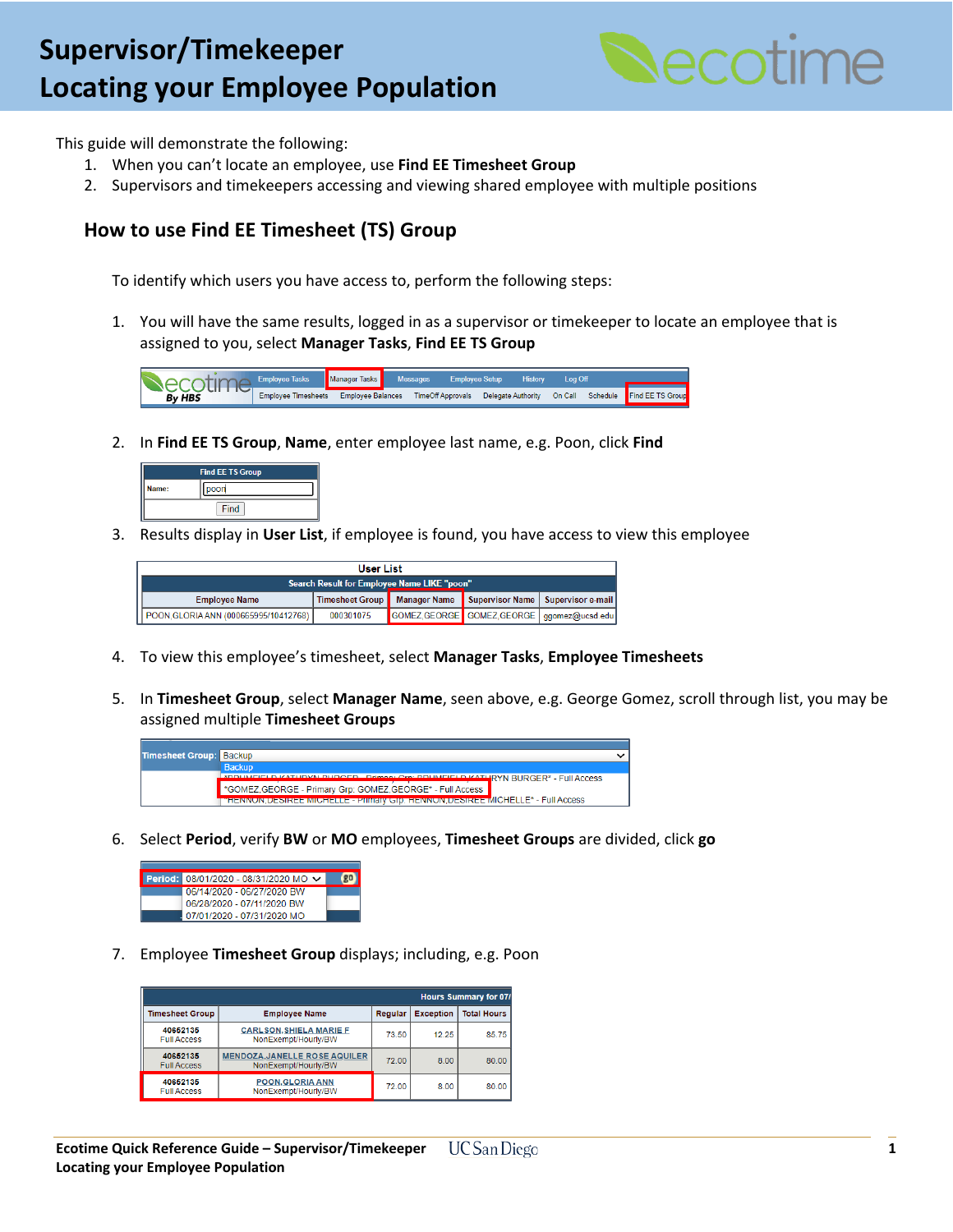## **Create a Position Create a Position Create a Position Create a Position Create a Position Create a Position Create a Position Create a Position Create a Position Create a Position Create a Position Create a Position Creat Locating your Employee Population**



This guide will demonstrate the following:

- 1. When you can't locate an employee, use **Find EE Timesheet Group**
- 2. Supervisors and timekeepers accessing and viewing shared employee with multiple positions

## **How to use Find EE Timesheet (TS) Group**

To identify which users you have access to, perform the following steps:

1. You will have the same results, logged in as a supervisor or timekeeper to locate an employee that is assigned to you, select **Manager Tasks**, **Find EE TS Group**



2. In **Find EE TS Group**, **Name**, enter employee last name, e.g. Poon, click **Find**

|       | <b>Find EE TS Group</b> |
|-------|-------------------------|
| Name: | poon                    |
|       | Find                    |

3. Results display in **User List**, if employee is found, you have access to view this employee

| <b>User List</b>                            |           |  |  |                                                                |  |  |  |  |
|---------------------------------------------|-----------|--|--|----------------------------------------------------------------|--|--|--|--|
| Search Result for Employee Name LIKE "poon" |           |  |  |                                                                |  |  |  |  |
| <b>Employee Name</b>                        |           |  |  | Timesheet Group Manager Name Supervisor Name Supervisor e-mail |  |  |  |  |
| `   POON,GLORIA ANN (000665995/10412768) │  | 000301075 |  |  | GOMEZ, GEORGE GOMEZ, GEORGE   ggomez@ucsd.edu                  |  |  |  |  |

- 4. To view this employee's timesheet, select **Manager Tasks**, **Employee Timesheets**
- 5. In **Timesheet Group**, select **Manager Name**, seen above, e.g. George Gomez, scroll through list, you may be assigned multiple **Timesheet Groups**



6. Select **Period**, verify **BW** or **MO** employees, **Timesheet Groups** are divided, click **go**

| Period: 08/01/2020 - 08/31/2020 MO V |  |
|--------------------------------------|--|
| 06/14/2020 - 06/27/2020 BW           |  |
| 06/28/2020 - 07/11/2020 BW           |  |
| 07/01/2020 - 07/31/2020 MO           |  |

7. Employee **Timesheet Group** displays; including, e.g. Poon

|                                |                                                             | <b>Hours Summary for 07/</b> |                  |                    |  |  |  |
|--------------------------------|-------------------------------------------------------------|------------------------------|------------------|--------------------|--|--|--|
| <b>Timesheet Group</b>         | <b>Employee Name</b>                                        | Regular                      | <b>Exception</b> | <b>Total Hours</b> |  |  |  |
| 40652135<br><b>Full Access</b> | <b>CARLSON, SHIELA MARIE F</b><br>NonExempt/Hourly/BW       | 73.50                        | 12.25            | 85.75              |  |  |  |
| 40652135<br><b>Full Access</b> | <b>MENDOZA, JANELLE ROSE AQUILER</b><br>NonExempt/Hourly/BW | 72.00                        | 8.00             | 80.00              |  |  |  |
| 40652135<br><b>Full Access</b> | <b>POON, GLORIA ANN</b><br>NonExempt/Hourly/BW              | 72.00                        | 8.00             | 80.00              |  |  |  |